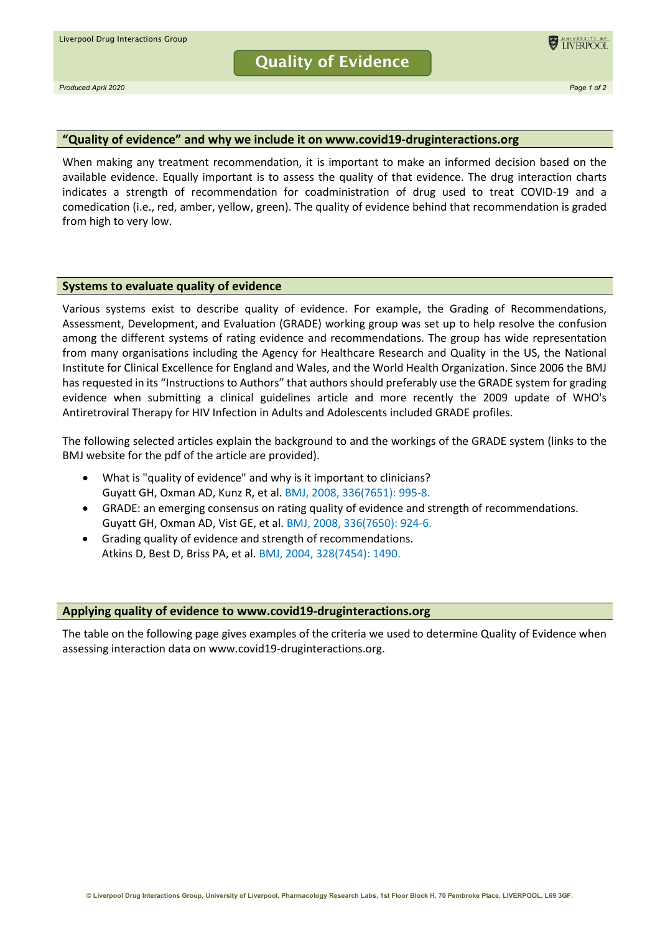**Quality of Evidence**



*Produced April 2020 Page 1 of 2*

## **"Quality of evidence" and why we include it on www.covid19-druginteractions.org**

When making any treatment recommendation, it is important to make an informed decision based on the available evidence. Equally important is to assess the quality of that evidence. The drug interaction charts indicates a strength of recommendation for coadministration of drug used to treat COVID-19 and a comedication (i.e., red, amber, yellow, green). The quality of evidence behind that recommendation is graded from high to very low.

## **Systems to evaluate quality of evidence**

Various systems exist to describe quality of evidence. For example, the Grading of Recommendations, Assessment, Development, and Evaluation (GRADE) working group was set up to help resolve the confusion among the different systems of rating evidence and recommendations. The group has wide representation from many organisations including the Agency for Healthcare Research and Quality in the US, the National Institute for Clinical Excellence for England and Wales, and the World Health Organization. Since 2006 the BMJ has requested in its "Instructions to Authors" that authors should preferably use the GRADE system for grading evidence when submitting a clinical guidelines article and more recently the 2009 update of WHO's Antiretroviral Therapy for HIV Infection in Adults and Adolescents included GRADE profiles.

The following selected articles explain the background to and the workings of the GRADE system (links to the BMJ website for the pdf of the article are provided).

- What is "quality of evidence" and why is it important to clinicians? Guyatt GH, Oxman AD, Kunz R, et al[. BMJ, 2008, 336\(7651\): 995-8.](https://www.bmj.com/content/336/7651/995)
- GRADE: an emerging consensus on rating quality of evidence and strength of recommendations. Guyatt GH, Oxman AD, Vist GE, et al[. BMJ, 2008, 336\(7650\): 924-6.](https://www.bmj.com/content/336/7650/924)
- Grading quality of evidence and strength of recommendations. Atkins D, Best D, Briss PA, et al. [BMJ, 2004, 328\(7454\): 1490.](https://www.bmj.com/content/328/7454/1490)

## **Applying quality of evidence to www.covid19-druginteractions.org**

The table on the following page gives examples of the criteria we used to determine Quality of Evidence when assessing interaction data on www.covid19-druginteractions.org.